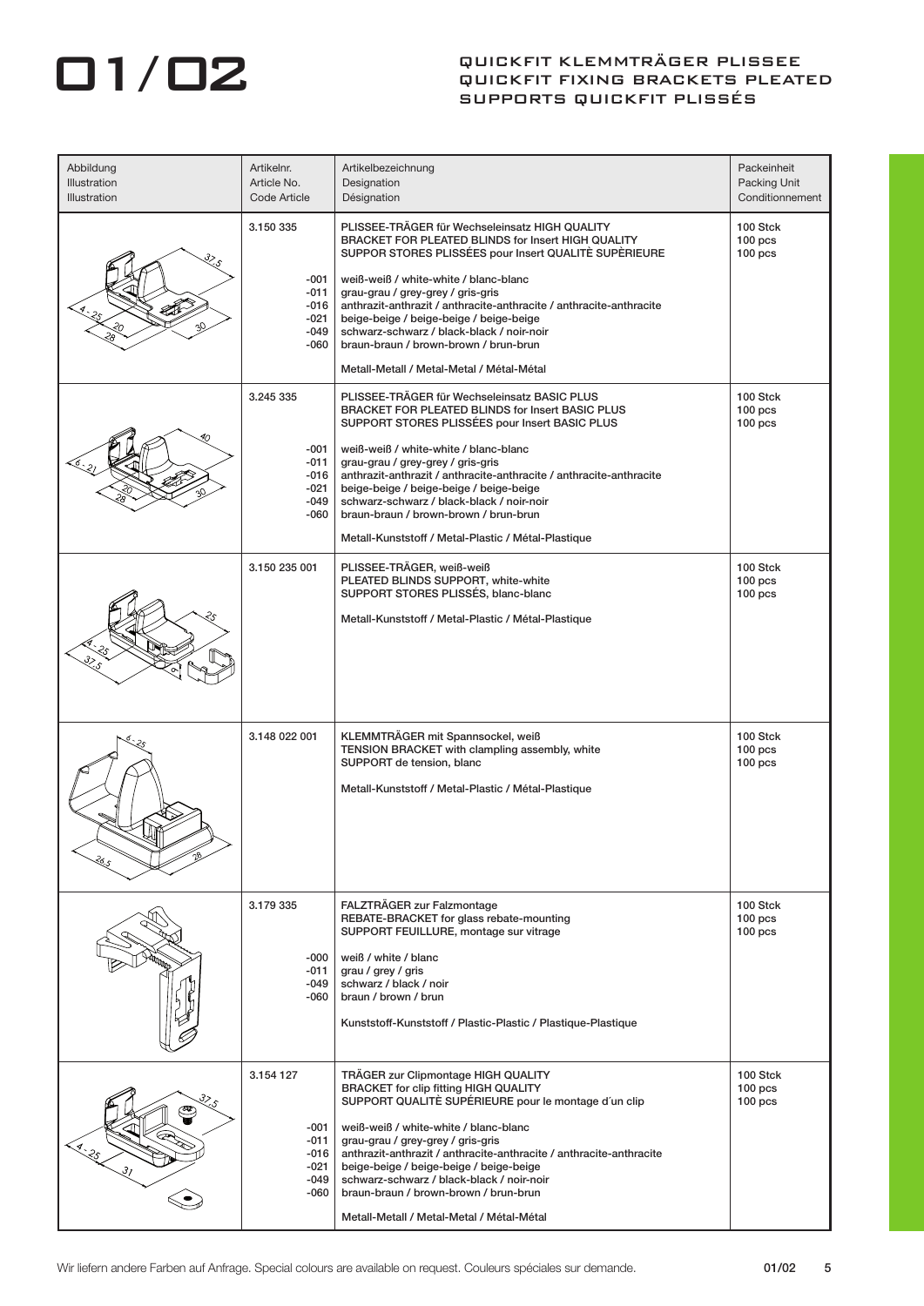## **012** QUICKFIT KLEMMTRÄGER PLISSEE QUICKFIT FIXING BRACKETS PLEATED SUPPORTS QUICKFIT PLISSÉS

| Abbildung<br>Illustration<br>Illustration                | Artikelnr.<br>Article No.<br>Code Article                     | Artikelbezeichnung<br>Designation<br>Désignation                                                                                                                                                                                                                                                                                                                                                                                                                                                       | Packeinheit<br>Packing Unit<br>Conditionnement       |
|----------------------------------------------------------|---------------------------------------------------------------|--------------------------------------------------------------------------------------------------------------------------------------------------------------------------------------------------------------------------------------------------------------------------------------------------------------------------------------------------------------------------------------------------------------------------------------------------------------------------------------------------------|------------------------------------------------------|
|                                                          | 3.150 335<br>-001<br>-011<br>-016<br>-021<br>-049<br>-060     | PLISSEE-TRÄGER für Wechseleinsatz HIGH QUALITY<br>BRACKET FOR PLEATED BLINDS for Insert HIGH QUALITY<br>SUPPOR STORES PLISSÉES pour Insert QUALITÈ SUPÈRIEURE<br>weiß-weiß / white-white / blanc-blanc<br>grau-grau / grey-grey / gris-gris<br>anthrazit-anthrazit / anthracite-anthracite / anthracite-anthracite<br>beige-beige / beige-beige / beige-beige<br>schwarz-schwarz / black-black / noir-noir<br>braun-braun / brown-brown / brun-brun<br>Metall-Metall / Metal-Metal / Métal-Métal       | 100 Stck<br>$100$ pcs<br>100 <sub>pos</sub>          |
|                                                          | 3.245 335<br>$-001$<br>-011<br>$-016$<br>-021<br>-049<br>-060 | PLISSEE-TRÄGER für Wechseleinsatz BASIC PLUS<br><b>BRACKET FOR PLEATED BLINDS for Insert BASIC PLUS</b><br>SUPPORT STORES PLISSÉES pour Insert BASIC PLUS<br>weiß-weiß / white-white / blanc-blanc<br>grau-grau / grey-grey / gris-gris<br>anthrazit-anthrazit / anthracite-anthracite / anthracite-anthracite<br>beige-beige / beige-beige / beige-beige<br>schwarz-schwarz / black-black / noir-noir<br>braun-braun / brown-brown / brun-brun<br>Metall-Kunststoff / Metal-Plastic / Métal-Plastique | 100 Stck<br>$100$ pcs<br>100 <sub>pos</sub>          |
|                                                          | 3.150 235 001                                                 | PLISSEE-TRÄGER, weiß-weiß<br>PLEATED BLINDS SUPPORT, white-white<br>SUPPORT STORES PLISSÉS, blanc-blanc<br>Metall-Kunststoff / Metal-Plastic / Métal-Plastique                                                                                                                                                                                                                                                                                                                                         | 100 Stck<br>$100$ pcs<br>$100$ pcs                   |
| ર્જ્ડ                                                    | 3.148 022 001                                                 | KLEMMTRÄGER mit Spannsockel, weiß<br>TENSION BRACKET with clampling assembly, white<br>SUPPORT de tension, blanc<br>Metall-Kunststoff / Metal-Plastic / Métal-Plastique                                                                                                                                                                                                                                                                                                                                | 100 Stck<br>100 <sub>pos</sub><br>100 <sub>pos</sub> |
|                                                          | 3.179 335<br>-000<br>-011<br>-049<br>-060                     | FALZTRÄGER zur Falzmontage<br>REBATE-BRACKET for glass rebate-mounting<br>SUPPORT FEUILLURE, montage sur vitrage<br>weiß / white / blanc<br>grau / grey / gris<br>schwarz / black / noir<br>braun / brown / brun<br>Kunststoff-Kunststoff / Plastic-Plastic / Plastique-Plastique                                                                                                                                                                                                                      | 100 Stck<br>$100$ pcs<br>100 <sub>pos</sub>          |
| $\mathcal{S}_{\mathcal{S}}$<br>L.LE<br>$\mathcal{S}_{I}$ | 3.154 127<br>-001<br>-011<br>-016<br>-021<br>-049<br>-060     | TRÄGER zur Clipmontage HIGH QUALITY<br><b>BRACKET for clip fitting HIGH QUALITY</b><br>SUPPORT QUALITÈ SUPÉRIEURE pour le montage d'un clip<br>weiß-weiß / white-white / blanc-blanc<br>grau-grau / grey-grey / gris-gris<br>anthrazit-anthrazit / anthracite-anthracite / anthracite-anthracite<br>beige-beige / beige-beige / beige-beige<br>schwarz-schwarz / black-black / noir-noir<br>braun-braun / brown-brown / brun-brun<br>Metall-Metall / Metal-Metal / Métal-Métal                         | 100 Stck<br>$100$ pcs<br>$100$ pcs                   |